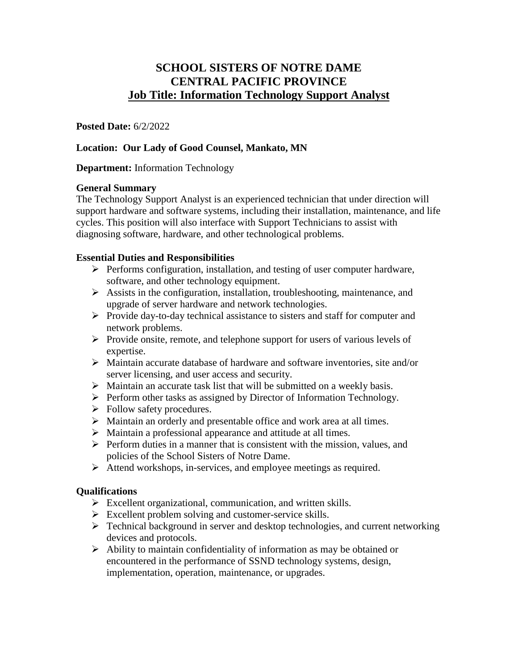# **SCHOOL SISTERS OF NOTRE DAME CENTRAL PACIFIC PROVINCE Job Title: Information Technology Support Analyst**

**Posted Date:** 6/2/2022

## **Location: Our Lady of Good Counsel, Mankato, MN**

## **Department:** Information Technology

## **General Summary**

The Technology Support Analyst is an experienced technician that under direction will support hardware and software systems, including their installation, maintenance, and life cycles. This position will also interface with Support Technicians to assist with diagnosing software, hardware, and other technological problems.

## **Essential Duties and Responsibilities**

- $\triangleright$  Performs configuration, installation, and testing of user computer hardware, software, and other technology equipment.
- $\triangleright$  Assists in the configuration, installation, troubleshooting, maintenance, and upgrade of server hardware and network technologies.
- $\triangleright$  Provide day-to-day technical assistance to sisters and staff for computer and network problems.
- $\triangleright$  Provide onsite, remote, and telephone support for users of various levels of expertise.
- $\triangleright$  Maintain accurate database of hardware and software inventories, site and/or server licensing, and user access and security.
- $\triangleright$  Maintain an accurate task list that will be submitted on a weekly basis.
- $\triangleright$  Perform other tasks as assigned by Director of Information Technology.
- $\triangleright$  Follow safety procedures.
- $\triangleright$  Maintain an orderly and presentable office and work area at all times.
- $\triangleright$  Maintain a professional appearance and attitude at all times.
- $\triangleright$  Perform duties in a manner that is consistent with the mission, values, and policies of the School Sisters of Notre Dame.
- Attend workshops, in-services, and employee meetings as required.

#### **Qualifications**

- $\triangleright$  Excellent organizational, communication, and written skills.
- $\triangleright$  Excellent problem solving and customer-service skills.
- $\triangleright$  Technical background in server and desktop technologies, and current networking devices and protocols.
- $\triangleright$  Ability to maintain confidentiality of information as may be obtained or encountered in the performance of SSND technology systems, design, implementation, operation, maintenance, or upgrades.